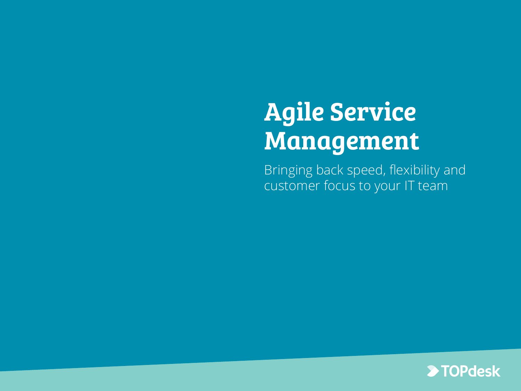# Agile Service Management

Bringing back speed, flexibility and customer focus to your IT team

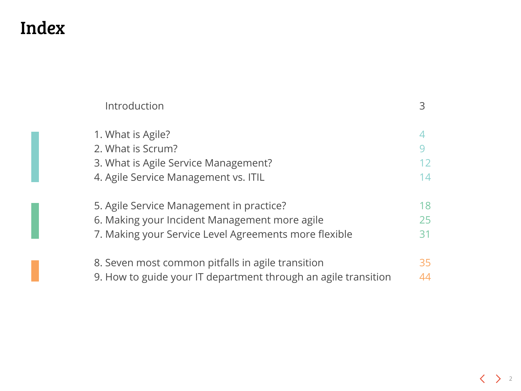### Index

| Introduction                                                                   | 3  |
|--------------------------------------------------------------------------------|----|
| 1. What is Agile?<br>2. What is Scrum?<br>3. What is Agile Service Management? | 12 |
| 4. Agile Service Management vs. ITIL                                           | 14 |
| 5. Agile Service Management in practice?                                       | 18 |
| 6. Making your Incident Management more agile                                  | 25 |
| 7. Making your Service Level Agreements more flexible                          | 31 |
| 8. Seven most common pitfalls in agile transition                              | 35 |
| 9. How to guide your IT department through an agile transition                 | 44 |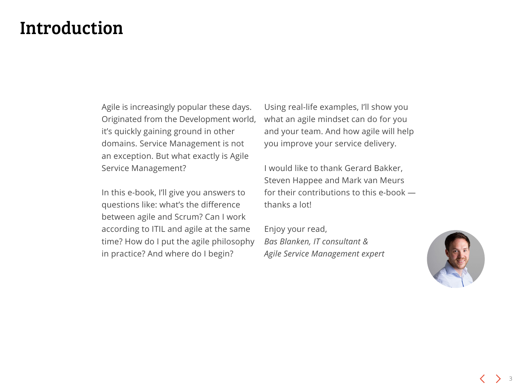### <span id="page-2-0"></span>Introduction

Agile is increasingly popular these days. Originated from the Development world, it's quickly gaining ground in other domains. Service Management is not an exception. But what exactly is Agile Service Management?

In this e-book, I'll give you answers to questions like: what's the difference between agile and Scrum? Can I work according to ITIL and agile at the same time? How do I put the agile philosophy in practice? And where do I begin?

Using real-life examples, I'll show you what an agile mindset can do for you and your team. And how agile will help you improve your service delivery.

I would like to thank Gerard Bakker, Steven Happee and Mark van Meurs for their contributions to this e-book thanks a lot!

Enjoy your read, *Bas Blanken, IT consultant & Agile Service Management expert*

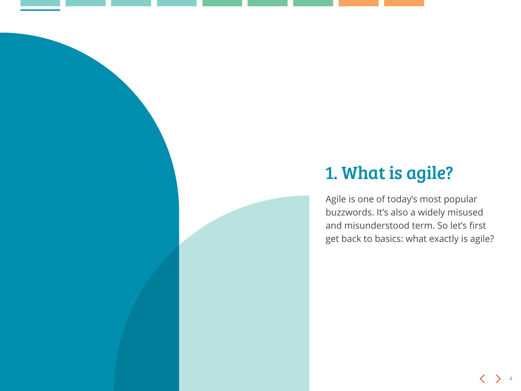### <span id="page-3-0"></span>1. What is agile?

Agile is one of today's most popular buzzwords. It's also a widely misused and misunderstood term. So let's first get back to basics: what exactly is agile?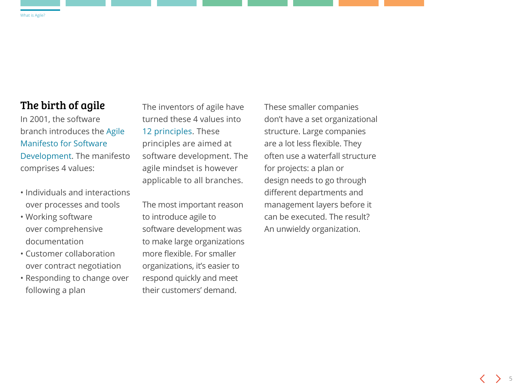### The birth of agile

In 2001, the software branch introduces the [Agile](http://agilemanifesto.org/)  [Manifesto for Software](http://agilemanifesto.org/)  [Development](http://agilemanifesto.org/). The manifesto comprises 4 values:

- Individuals and interactions over processes and tools
- Working software over comprehensive documentation
- Customer collaboration over contract negotiation
- Responding to change over following a plan

The inventors of agile have turned these 4 values into [12 principles.](http://agilemanifesto.org/iso/nl/principles.html) These principles are aimed at software development. The agile mindset is however applicable to all branches.

The most important reason to introduce agile to software development was to make large organizations more flexible. For smaller organizations, it's easier to respond quickly and meet their customers' demand.

These smaller companies don't have a set organizational structure. Large companies are a lot less flexible. They often use a waterfall structure for projects: a plan or design needs to go through different departments and management layers before it can be executed. The result? An unwieldy organization.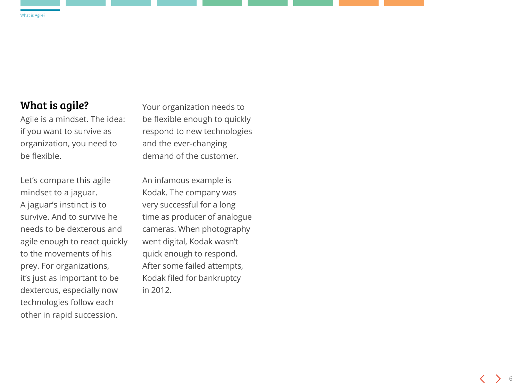### What is agile?

Agile is a mindset. The idea: if you want to survive as organization, you need to be flexible.

Let's compare this agile mindset to a jaguar. A jaguar's instinct is to survive. And to survive he needs to be dexterous and agile enough to react quickly to the movements of his prey. For organizations, it's just as important to be dexterous, especially now technologies follow each other in rapid succession.

Your organization needs to be flexible enough to quickly respond to new technologies and the ever-changing demand of the customer.

An infamous example is Kodak. The company was very successful for a long time as producer of analogue cameras. When photography went digital, Kodak wasn't quick enough to respond. After some failed attempts, Kodak filed for bankruptcy in 2012.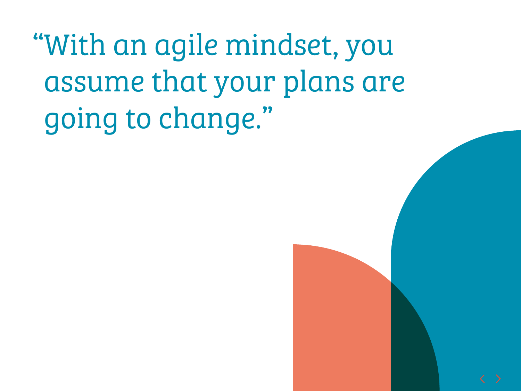"With an agile mindset, you assume that your plans are going to change."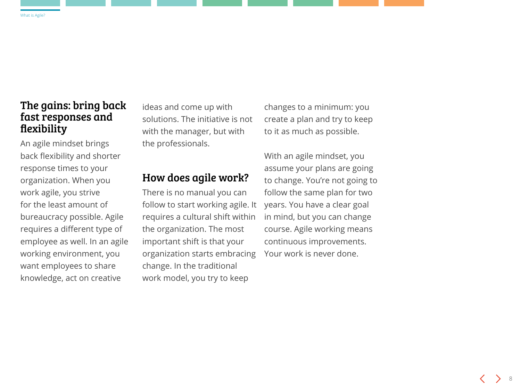### The gains: bring back fast responses and flexibility

An agile mindset brings back flexibility and shorter response times to your organization. When you work agile, you strive for the least amount of bureaucracy possible. Agile requires a different type of employee as well. In an agile working environment, you want employees to share knowledge, act on creative

ideas and come up with solutions. The initiative is not with the manager, but with the professionals.

#### How does agile work?

There is no manual you can follow to start working agile. It requires a cultural shift within the organization. The most important shift is that your organization starts embracing change. In the traditional work model, you try to keep

changes to a minimum: you create a plan and try to keep to it as much as possible.

With an agile mindset, you assume your plans are going to change. You're not going to follow the same plan for two years. You have a clear goal in mind, but you can change course. Agile working means continuous improvements. Your work is never done.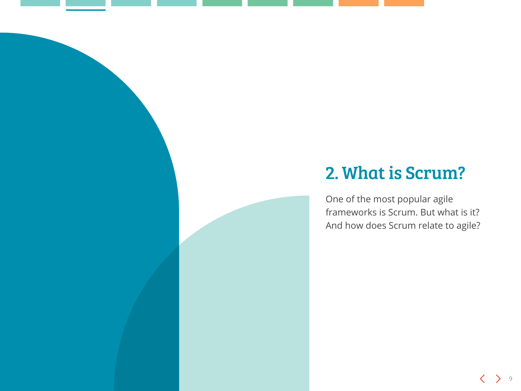### <span id="page-8-0"></span>2. What is Scrum?

One of the most popular agile frameworks is Scrum. But what is it? And how does Scrum relate to agile?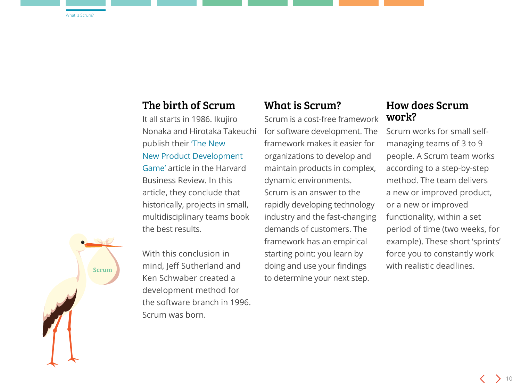#### The birth of Scrum

It all starts in 1986. Ikujiro Nonaka and Hirotaka Takeuchi publish their ['The New](https://hbr.org/1986/01/the-new-new-product-development-game)  [New Product Development](https://hbr.org/1986/01/the-new-new-product-development-game)  [Game'](https://hbr.org/1986/01/the-new-new-product-development-game) article in the Harvard Business Review. In this article, they conclude that historically, projects in small, multidisciplinary teams book the best results.

**Scrum** 

With this conclusion in mind, Jeff Sutherland and Ken Schwaber created a development method for the software branch in 1996. Scrum was born.

#### What is Scrum?

Scrum is a cost-free framework for software development. The framework makes it easier for organizations to develop and maintain products in complex, dynamic environments. Scrum is an answer to the rapidly developing technology industry and the fast-changing demands of customers. The framework has an empirical starting point: you learn by doing and use your findings to determine your next step.

### How does Scrum work?

Scrum works for small selfmanaging teams of 3 to 9 people. A Scrum team works according to a step-by-step method. The team delivers a new or improved product, or a new or improved functionality, within a set period of time (two weeks, for example). These short 'sprints' force you to constantly work with realistic deadlines.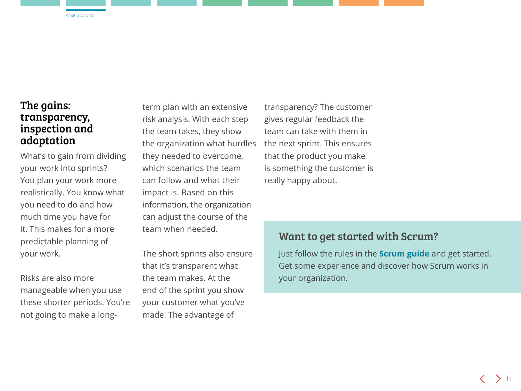### The gains: transparency, inspection and adaptation

What's to gain from dividing your work into sprints? You plan your work more realistically. You know what you need to do and how much time you have for it. This makes for a more predictable planning of your work.

Risks are also more manageable when you use these shorter periods. You're not going to make a longterm plan with an extensive risk analysis. With each step the team takes, they show the organization what hurdles they needed to overcome, which scenarios the team can follow and what their impact is. Based on this information, the organization can adjust the course of the team when needed.

The short sprints also ensure that it's transparent what the team makes. At the end of the sprint you show your customer what you've made. The advantage of

transparency? The customer gives regular feedback the team can take with them in the next sprint. This ensures that the product you make is something the customer is really happy about.

### Want to get started with Scrum?

Just follow the rules in the **[Scrum guide](http://www.scrumguides.org/docs/scrumguide/v2016/2016-Scrum-Guide-US.pdf)** and get started. Get some experience and discover how Scrum works in your organization.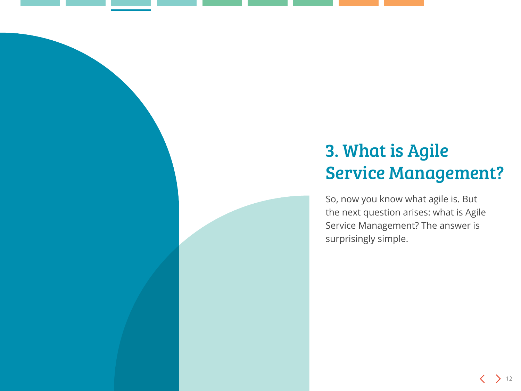### <span id="page-11-0"></span>3. What is Agile Service Management?

So, now you know what agile is. But the next question arises: what is Agile Service Management? The answer is surprisingly simple.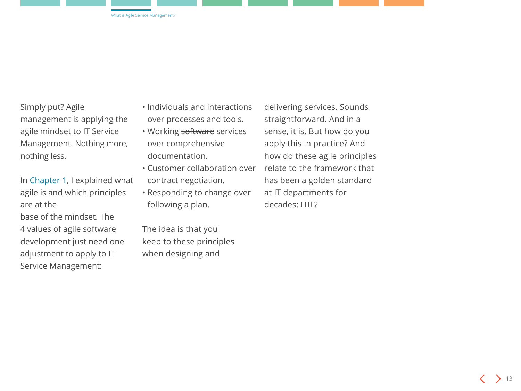Simply put? Agile management is applying the agile mindset to IT Service Management. Nothing more, nothing less.

In [Chapter 1,](#page-3-0) I explained what agile is and which principles are at the

base of the mindset. The 4 values of agile software development just need one adjustment to apply to IT Service Management:

- Individuals and interactions over processes and tools.
- Working software services over comprehensive documentation.
- Customer collaboration over contract negotiation.
- Responding to change over following a plan.

The idea is that you keep to these principles when designing and

delivering services. Sounds straightforward. And in a sense, it is. But how do you apply this in practice? And how do these agile principles relate to the framework that has been a golden standard at IT departments for decades: ITIL?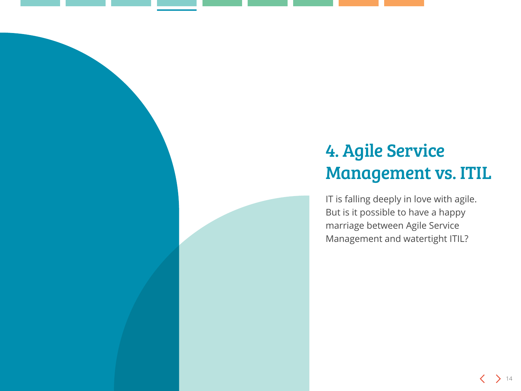### <span id="page-13-0"></span>4. Agile Service Management vs. ITIL

IT is falling deeply in love with agile. But is it possible to have a happy marriage between Agile Service Management and watertight ITIL?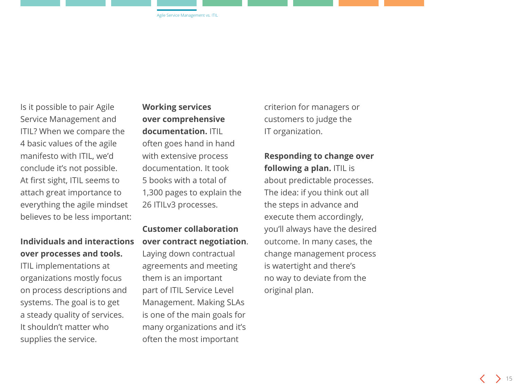Is it possible to pair Agile Service Management and ITIL? When we compare the 4 basic values of the agile manifesto with ITIL, we'd conclude it's not possible. At first sight, ITIL seems to attach great importance to everything the agile mindset believes to be less important:

#### **Individuals and interactions over processes and tools.**

ITIL implementations at organizations mostly focus on process descriptions and systems. The goal is to get a steady quality of services. It shouldn't matter who supplies the service.

**Working services over comprehensive documentation.** ITIL often goes hand in hand with extensive process documentation. It took 5 books with a total of 1,300 pages to explain the 26 ITILv3 processes.

**Customer collaboration over contract negotiation**. Laying down contractual agreements and meeting them is an important part of ITIL Service Level Management. Making SLAs is one of the main goals for many organizations and it's often the most important

criterion for managers or customers to judge the IT organization.

### **Responding to change over**

**following a plan.** ITIL is about predictable processes. The idea: if you think out all the steps in advance and execute them accordingly, you'll always have the desired outcome. In many cases, the change management process is watertight and there's no way to deviate from the original plan.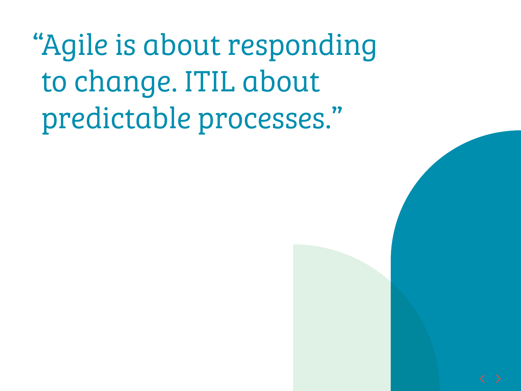"Agile is about responding to change. ITIL about predictable processes."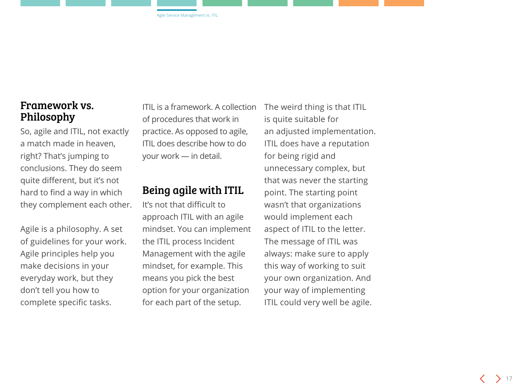### Framework vs. Philosophy

So, agile and ITIL, not exactly a match made in heaven, right? That's jumping to conclusions. They do seem quite different, but it's not hard to find a way in which they complement each other.

Agile is a philosophy. A set of guidelines for your work. Agile principles help you make decisions in your everyday work, but they don't tell you how to complete specific tasks.

ITIL is a framework. A collection of procedures that work in practice. As opposed to agile, ITIL does describe how to do your work — in detail.

### Being agile with ITIL

It's not that difficult to approach ITIL with an agile mindset. You can implement the ITIL process Incident Management with the agile mindset, for example. This means you pick the best option for your organization for each part of the setup.

The weird thing is that ITIL is quite suitable for an adjusted implementation. ITIL does have a reputation for being rigid and unnecessary complex, but that was never the starting point. The starting point wasn't that organizations would implement each aspect of ITIL to the letter. The message of ITIL was always: make sure to apply this way of working to suit your own organization. And your way of implementing ITIL could very well be agile.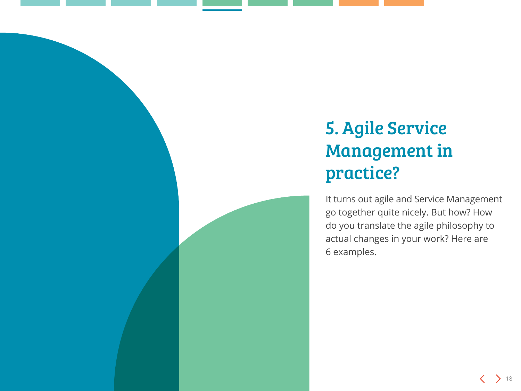### <span id="page-17-0"></span>5. Agile Service Management in practice?

It turns out agile and Service Management go together quite nicely. But how? How do you translate the agile philosophy to actual changes in your work? Here are 6 examples.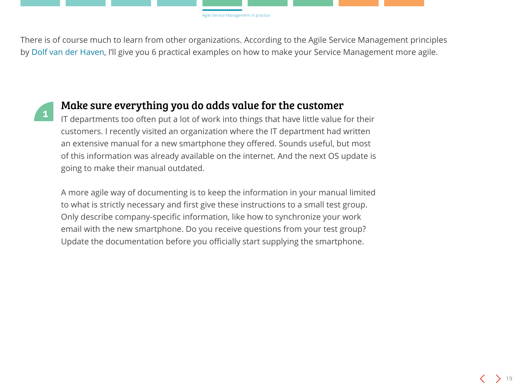There is of course much to learn from other organizations. According to the Agile Service Management principles by [Dolf van der Haven](https://www.linkedin.com/pulse/agile-mind-set-its-application-service-management-dolf-van-der-haven/), I'll give you 6 practical examples on how to make your Service Management more agile.



### **<sup>1</sup>** Make sure everything you do adds value for the customer

IT departments too often put a lot of work into things that have little value for their customers. I recently visited an organization where the IT department had written an extensive manual for a new smartphone they offered. Sounds useful, but most of this information was already available on the internet. And the next OS update is going to make their manual outdated.

A more agile way of documenting is to keep the information in your manual limited to what is strictly necessary and first give these instructions to a small test group. Only describe company-specific information, like how to synchronize your work email with the new smartphone. Do you receive questions from your test group? Update the documentation before you officially start supplying the smartphone.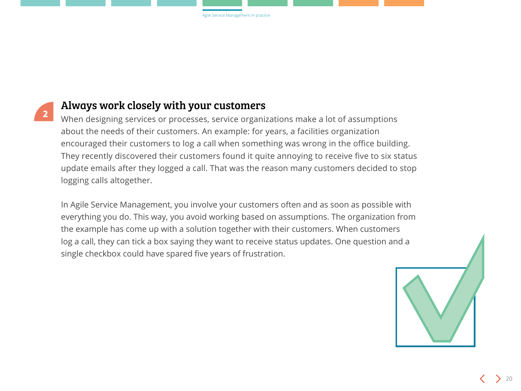

### Always work closely with your customers

When designing services or processes, service organizations make a lot of assumptions about the needs of their customers. An example: for years, a facilities organization encouraged their customers to log a call when something was wrong in the office building. They recently discovered their customers found it quite annoying to receive five to six status update emails after they logged a call. That was the reason many customers decided to stop logging calls altogether.

In Agile Service Management, you involve your customers often and as soon as possible with everything you do. This way, you avoid working based on assumptions. The organization from the example has come up with a solution together with their customers. When customers log a call, they can tick a box saying they want to receive status updates. One question and a single checkbox could have spared five years of frustration.

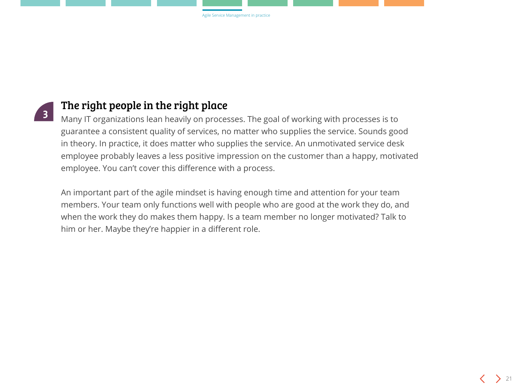

### The right people in the right place

Many IT organizations lean heavily on processes. The goal of working with processes is to guarantee a consistent quality of services, no matter who supplies the service. Sounds good in theory. In practice, it does matter who supplies the service. An unmotivated service desk employee probably leaves a less positive impression on the customer than a happy, motivated employee. You can't cover this difference with a process.

An important part of the agile mindset is having enough time and attention for your team members. Your team only functions well with people who are good at the work they do, and when the work they do makes them happy. Is a team member no longer motivated? Talk to him or her. Maybe they're happier in a different role.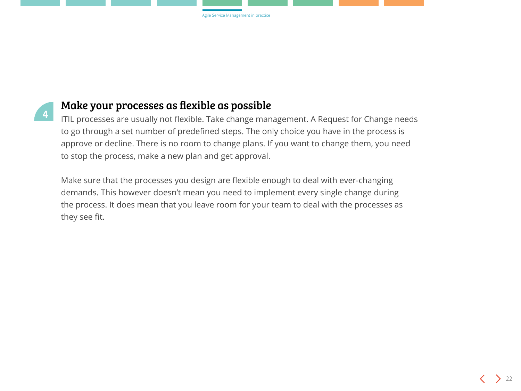

### Make your processes as flexible as possible

ITIL processes are usually not flexible. Take change management. A Request for Change needs to go through a set number of predefined steps. The only choice you have in the process is approve or decline. There is no room to change plans. If you want to change them, you need to stop the process, make a new plan and get approval.

Make sure that the processes you design are flexible enough to deal with ever-changing demands. This however doesn't mean you need to implement every single change during the process. It does mean that you leave room for your team to deal with the processes as they see fit.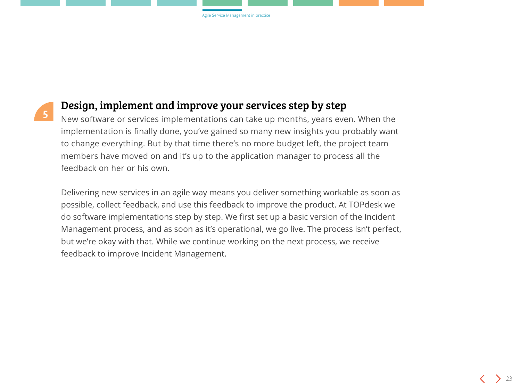

### Design, implement and improve your services step by step

New software or services implementations can take up months, years even. When the implementation is finally done, you've gained so many new insights you probably want to change everything. But by that time there's no more budget left, the project team members have moved on and it's up to the application manager to process all the feedback on her or his own.

Delivering new services in an agile way means you deliver something workable as soon as possible, collect feedback, and use this feedback to improve the product. At TOPdesk we do software implementations step by step. We first set up a basic version of the Incident Management process, and as soon as it's operational, we go live. The process isn't perfect, but we're okay with that. While we continue working on the next process, we receive feedback to improve Incident Management.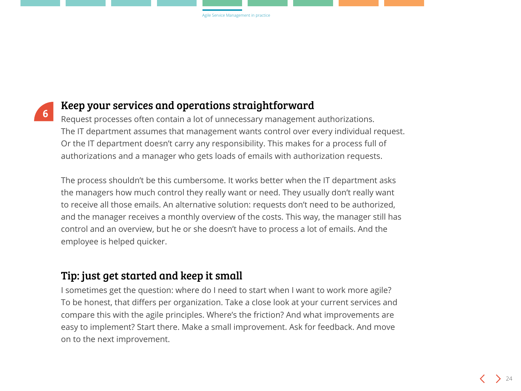

### Keep your services and operations straightforward

Request processes often contain a lot of unnecessary management authorizations. The IT department assumes that management wants control over every individual request. Or the IT department doesn't carry any responsibility. This makes for a process full of authorizations and a manager who gets loads of emails with authorization requests.

The process shouldn't be this cumbersome. It works better when the IT department asks the managers how much control they really want or need. They usually don't really want to receive all those emails. An alternative solution: requests don't need to be authorized, and the manager receives a monthly overview of the costs. This way, the manager still has control and an overview, but he or she doesn't have to process a lot of emails. And the employee is helped quicker.

### Tip: just get started and keep it small

I sometimes get the question: where do I need to start when I want to work more agile? To be honest, that differs per organization. Take a close look at your current services and compare this with the agile principles. Where's the friction? And what improvements are easy to implement? Start there. Make a small improvement. Ask for feedback. And move on to the next improvement.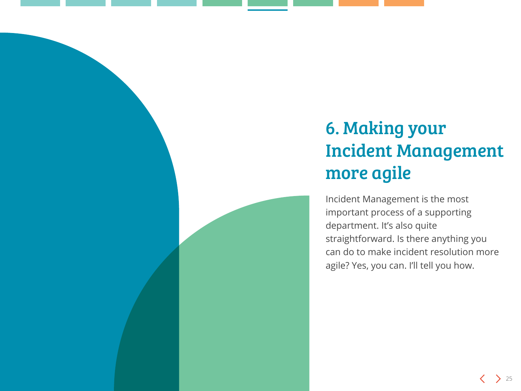### <span id="page-24-0"></span>6. Making your Incident Management more agile

Incident Management is the most important process of a supporting department. It's also quite straightforward. Is there anything you can do to make incident resolution more agile? Yes, you can. I'll tell you how.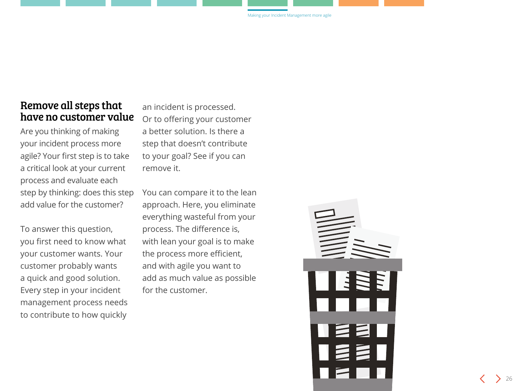### Remove all steps that have no customer value

Are you thinking of making your incident process more agile? Your first step is to take a critical look at your current process and evaluate each step by thinking: does this step add value for the customer?

To answer this question, you first need to know what your customer wants. Your customer probably wants a quick and good solution. Every step in your incident management process needs to contribute to how quickly

an incident is processed. Or to offering your customer a better solution. Is there a step that doesn't contribute to your goal? See if you can remove it.

You can compare it to the lean approach. Here, you eliminate everything wasteful from your process. The difference is, with lean your goal is to make the process more efficient, and with agile you want to add as much value as possible for the customer.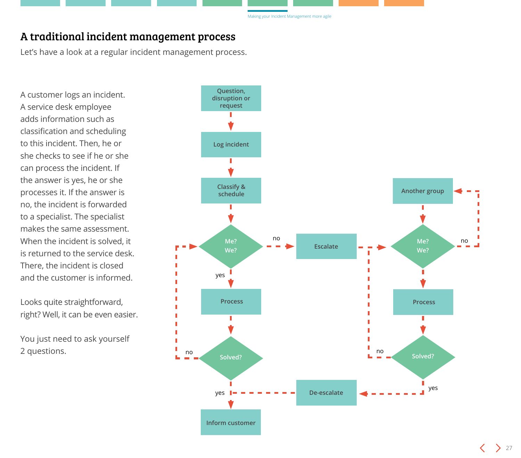#### A traditional incident management process

Let's have a look at a regular incident management process.

A customer logs an incident. A service desk employee adds information such as classification and scheduling to this incident. Then, he or she checks to see if he or she can process the incident. If the answer is yes, he or she processes it. If the answer is no, the incident is forwarded to a specialist. The specialist makes the same assessment. When the incident is solved, it is returned to the service desk. There, the incident is closed and the customer is informed.

Looks quite straightforward, right? Well, it can be even easier.

You just need to ask yourself 2 questions.

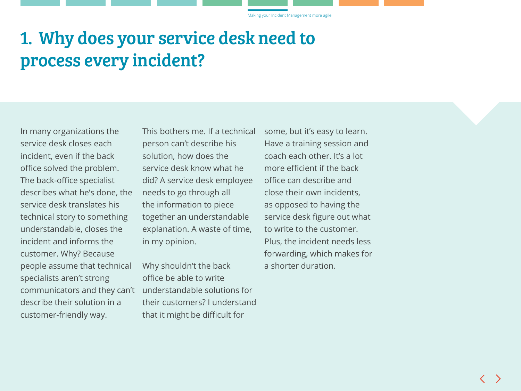Making your Incident Management more agile

### 1. Why does your service desk need to process every incident?

In many organizations the service desk closes each incident, even if the back office solved the problem. The back-office specialist describes what he's done, the service desk translates his technical story to something understandable, closes the incident and informs the customer. Why? Because people assume that technical specialists aren't strong communicators and they can't describe their solution in a customer-friendly way.

This bothers me. If a technical person can't describe his solution, how does the service desk know what he did? A service desk employee needs to go through all the information to piece together an understandable explanation. A waste of time, in my opinion.

Why shouldn't the back office be able to write understandable solutions for their customers? I understand that it might be difficult for

some, but it's easy to learn. Have a training session and coach each other. It's a lot more efficient if the back office can describe and close their own incidents, as opposed to having the service desk figure out what to write to the customer. Plus, the incident needs less forwarding, which makes for a shorter duration.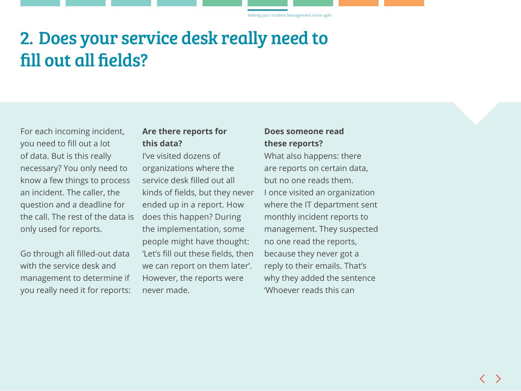Making your Incident Management more agile

### 2. Does your service desk really need to fill out all fields?

For each incoming incident, you need to fill out a lot of data. But is this really necessary? You only need to know a few things to process an incident. The caller, the question and a deadline for the call. The rest of the data is only used for reports.

Go through all filled-out data with the service desk and management to determine if you really need it for reports:

#### **Are there reports for this data?**

I've visited dozens of organizations where the service desk filled out all kinds of fields, but they never ended up in a report. How does this happen? During the implementation, some people might have thought: 'Let's fill out these fields, then we can report on them later'. However, the reports were never made.

#### **Does someone read these reports?**

What also happens: there are reports on certain data, but no one reads them. I once visited an organization where the IT department sent monthly incident reports to management. They suspected no one read the reports, because they never got a reply to their emails. That's why they added the sentence 'Whoever reads this can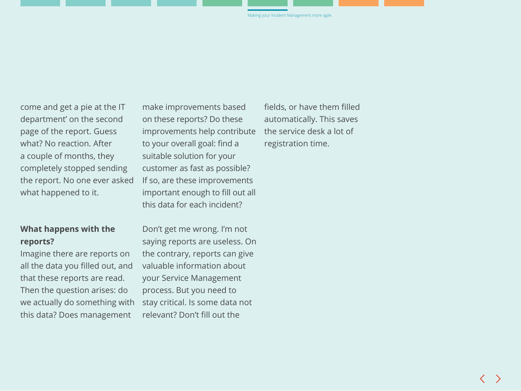come and get a pie at the IT department' on the second page of the report. Guess what? No reaction. After a couple of months, they completely stopped sending the report. No one ever asked what happened to it.

#### **What happens with the reports?**

Imagine there are reports on all the data you filled out, and that these reports are read. Then the question arises: do we actually do something with stay critical. Is some data not this data? Does management

make improvements based on these reports? Do these improvements help contribute to your overall goal: find a suitable solution for your customer as fast as possible? If so, are these improvements important enough to fill out all this data for each incident?

Don't get me wrong. I'm not saying reports are useless. On the contrary, reports can give valuable information about your Service Management process. But you need to relevant? Don't fill out the

fields, or have them filled automatically. This saves the service desk a lot of registration time.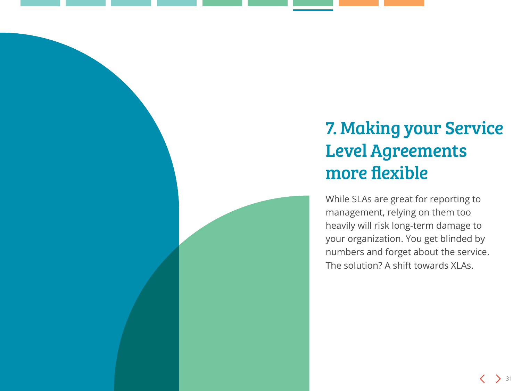### <span id="page-30-0"></span>7. Making your Service Level Agreements more flexible

While SLAs are great for reporting to management, relying on them too heavily will risk long-term damage to your organization. You get blinded by numbers and forget about the service. The solution? A shift towards XLAs.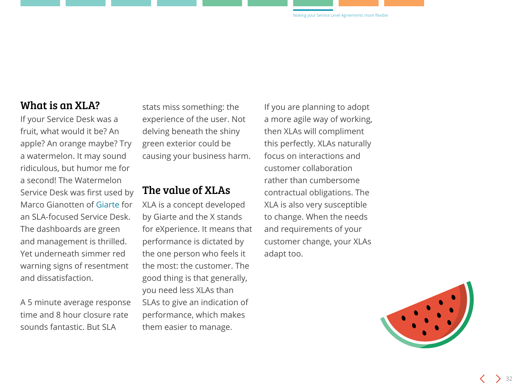#### What is an XLA?

If your Service Desk was a fruit, what would it be? An apple? An orange maybe? Try a watermelon. It may sound ridiculous, but humor me for a second! The Watermelon Service Desk was first used by Marco Gianotten of [Giarte](https://giarte.com/) for an SLA-focused Service Desk. The dashboards are green and management is thrilled. Yet underneath simmer red warning signs of resentment and dissatisfaction.

A 5 minute average response time and 8 hour closure rate sounds fantastic. But SLA

stats miss something: the experience of the user. Not delving beneath the shiny green exterior could be causing your business harm.

### The value of XLAs

XLA is a concept developed by Giarte and the X stands for eXperience. It means that performance is dictated by the one person who feels it the most: the customer. The good thing is that generally, you need less XLAs than SLAs to give an indication of performance, which makes them easier to manage.

If you are planning to adopt a more agile way of working, then XLAs will compliment this perfectly. XLAs naturally focus on interactions and customer collaboration rather than cumbersome contractual obligations. The XLA is also very susceptible to change. When the needs and requirements of your customer change, your XLAs adapt too.

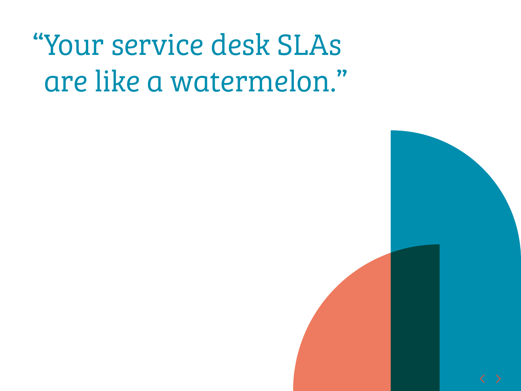# "Your service desk SLAs are like a watermelon."

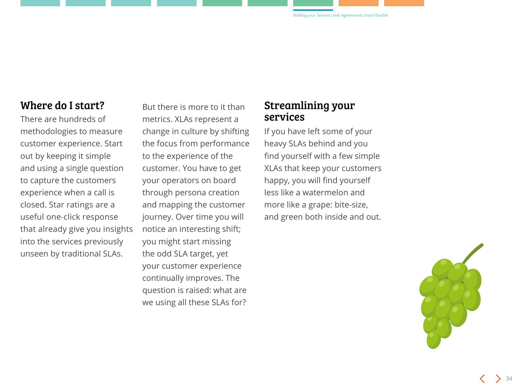### Where do I start?

There are hundreds of methodologies to measure customer experience. Start out by keeping it simple and using a single question to capture the customers experience when a call is closed. Star ratings are a useful one-click response that already give you insights into the services previously unseen by traditional SLAs.

But there is more to it than metrics. XLAs represent a change in culture by shifting the focus from performance to the experience of the customer. You have to get your operators on board through persona creation and mapping the customer journey. Over time you will notice an interesting shift; you might start missing the odd SLA target, yet your customer experience continually improves. The question is raised: what are we using all these SLAs for?

#### Streamlining your services

If you have left some of your heavy SLAs behind and you find yourself with a few simple XLAs that keep your customers happy, you will find yourself less like a watermelon and more like a grape: bite-size, and green both inside and out.

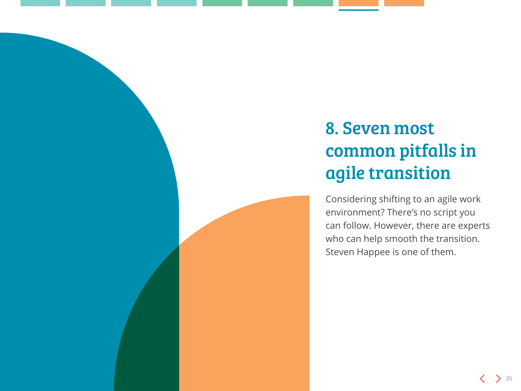### <span id="page-34-0"></span>8. Seven most common pitfalls in agile transition

Considering shifting to an agile work environment? There's no script you can follow. However, there are experts who can help smooth the transition. Steven Happee is one of them.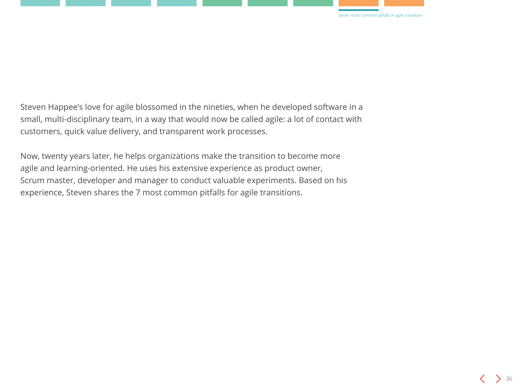

Steven Happee's love for agile blossomed in the nineties, when he developed software in a small, multi-disciplinary team, in a way that would now be called agile: a lot of contact with customers, quick value delivery, and transparent work processes.

Now, twenty years later, he helps organizations make the transition to become more agile and learning-oriented. He uses his extensive experience as product owner, Scrum master, developer and manager to conduct valuable experiments. Based on his experience, Steven shares the 7 most common pitfalls for agile transitions.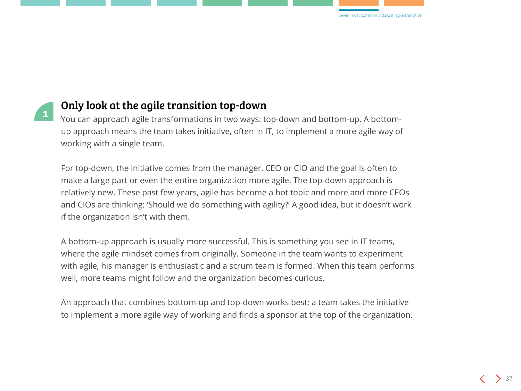



### Only look at the agile transition top-down

You can approach agile transformations in two ways: top-down and bottom-up. A bottomup approach means the team takes initiative, often in IT, to implement a more agile way of working with a single team.

For top-down, the initiative comes from the manager, CEO or CIO and the goal is often to make a large part or even the entire organization more agile. The top-down approach is relatively new. These past few years, agile has become a hot topic and more and more CEOs and CIOs are thinking: 'Should we do something with agility?' A good idea, but it doesn't work if the organization isn't with them.

A bottom-up approach is usually more successful. This is something you see in IT teams, where the agile mindset comes from originally. Someone in the team wants to experiment with agile, his manager is enthusiastic and a scrum team is formed. When this team performs well, more teams might follow and the organization becomes curious.

An approach that combines bottom-up and top-down works best: a team takes the initiative to implement a more agile way of working and finds a sponsor at the top of the organization.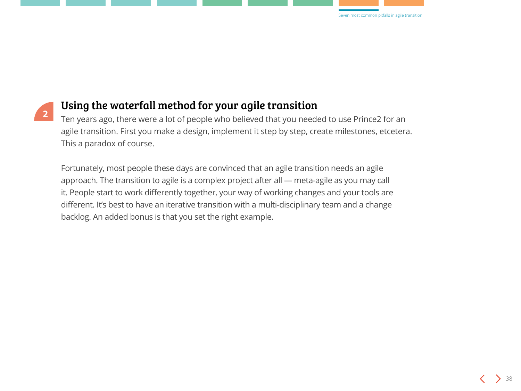



### Using the waterfall method for your agile transition

Ten years ago, there were a lot of people who believed that you needed to use Prince2 for an agile transition. First you make a design, implement it step by step, create milestones, etcetera. This a paradox of course.

Fortunately, most people these days are convinced that an agile transition needs an agile approach. The transition to agile is a complex project after all — meta-agile as you may call it. People start to work differently together, your way of working changes and your tools are different. It's best to have an iterative transition with a multi-disciplinary team and a change backlog. An added bonus is that you set the right example.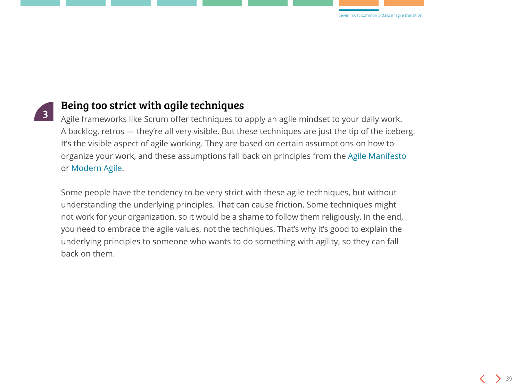

### Being too strict with agile techniques

Agile frameworks like Scrum offer techniques to apply an agile mindset to your daily work. A backlog, retros — they're all very visible. But these techniques are just the tip of the iceberg. It's the visible aspect of agile working. They are based on certain assumptions on how to organize your work, and these assumptions fall back on principles from the [Agile Manifesto](http://agilemanifesto.org) or [Modern Agile.](http://modernagile.org)

Some people have the tendency to be very strict with these agile techniques, but without understanding the underlying principles. That can cause friction. Some techniques might not work for your organization, so it would be a shame to follow them religiously. In the end, you need to embrace the agile values, not the techniques. That's why it's good to explain the underlying principles to someone who wants to do something with agility, so they can fall back on them.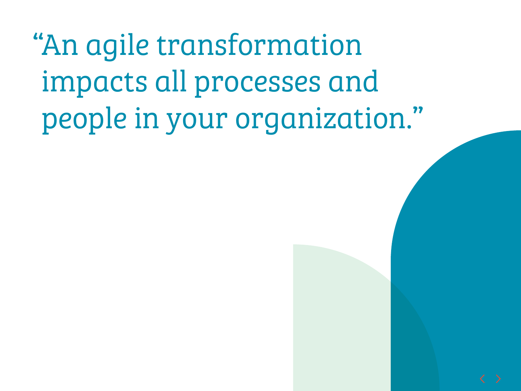"An agile transformation impacts all processes and people in your organization."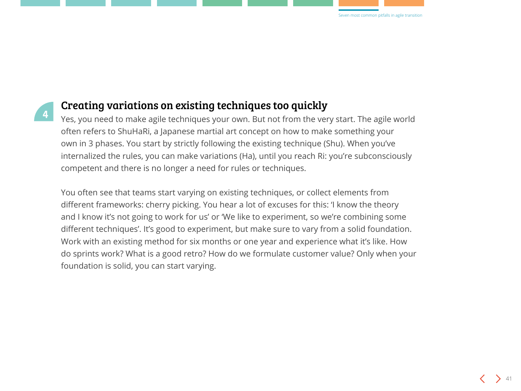



### Creating variations on existing techniques too quickly

Yes, you need to make agile techniques your own. But not from the very start. The agile world often refers to ShuHaRi, a Japanese martial art concept on how to make something your own in 3 phases. You start by strictly following the existing technique (Shu). When you've internalized the rules, you can make variations (Ha), until you reach Ri: you're subconsciously competent and there is no longer a need for rules or techniques.

You often see that teams start varying on existing techniques, or collect elements from different frameworks: cherry picking. You hear a lot of excuses for this: 'I know the theory and I know it's not going to work for us' or 'We like to experiment, so we're combining some different techniques'. It's good to experiment, but make sure to vary from a solid foundation. Work with an existing method for six months or one year and experience what it's like. How do sprints work? What is a good retro? How do we formulate customer value? Only when your foundation is solid, you can start varying.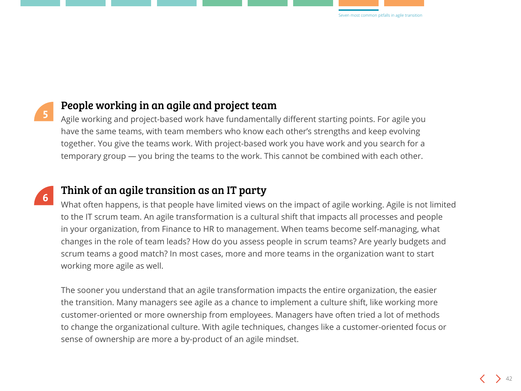



**6**

### People working in an agile and project team

Agile working and project-based work have fundamentally different starting points. For agile you have the same teams, with team members who know each other's strengths and keep evolving together. You give the teams work. With project-based work you have work and you search for a temporary group — you bring the teams to the work. This cannot be combined with each other.

### Think of an agile transition as an IT party

What often happens, is that people have limited views on the impact of agile working. Agile is not limited to the IT scrum team. An agile transformation is a cultural shift that impacts all processes and people in your organization, from Finance to HR to management. When teams become self-managing, what changes in the role of team leads? How do you assess people in scrum teams? Are yearly budgets and scrum teams a good match? In most cases, more and more teams in the organization want to start working more agile as well.

The sooner you understand that an agile transformation impacts the entire organization, the easier the transition. Many managers see agile as a chance to implement a culture shift, like working more customer-oriented or more ownership from employees. Managers have often tried a lot of methods to change the organizational culture. With agile techniques, changes like a customer-oriented focus or sense of ownership are more a by-product of an agile mindset.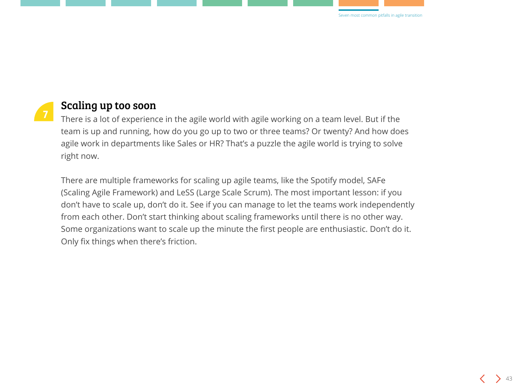



#### Scaling up too soon

There is a lot of experience in the agile world with agile working on a team level. But if the team is up and running, how do you go up to two or three teams? Or twenty? And how does agile work in departments like Sales or HR? That's a puzzle the agile world is trying to solve right now.

There are multiple frameworks for scaling up agile teams, like the Spotify model, SAFe (Scaling Agile Framework) and LeSS (Large Scale Scrum). The most important lesson: if you don't have to scale up, don't do it. See if you can manage to let the teams work independently from each other. Don't start thinking about scaling frameworks until there is no other way. Some organizations want to scale up the minute the first people are enthusiastic. Don't do it. Only fix things when there's friction.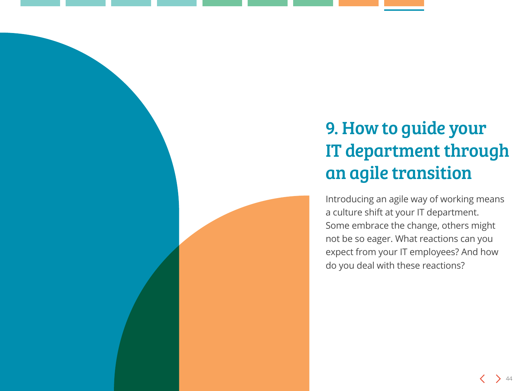### <span id="page-43-0"></span>9. How to guide your IT department through an agile transition

Introducing an agile way of working means a culture shift at your IT department. Some embrace the change, others might not be so eager. What reactions can you expect from your IT employees? And how do you deal with these reactions?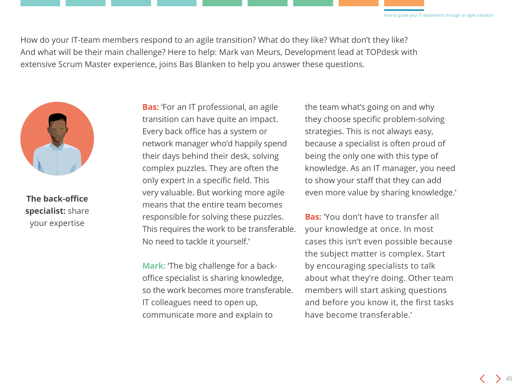How do your IT-team members respond to an agile transition? What do they like? What don't they like? And what will be their main challenge? Here to help: Mark van Meurs, Development lead at TOPdesk with extensive Scrum Master experience, joins Bas Blanken to help you answer these questions.



**The back-office specialist:** share your expertise

**Bas:** 'For an IT professional, an agile transition can have quite an impact. Every back office has a system or network manager who'd happily spend their days behind their desk, solving complex puzzles. They are often the only expert in a specific field. This very valuable. But working more agile means that the entire team becomes responsible for solving these puzzles. This requires the work to be transferable. No need to tackle it yourself.'

**Mark:** 'The big challenge for a backoffice specialist is sharing knowledge, so the work becomes more transferable. IT colleagues need to open up, communicate more and explain to

the team what's going on and why they choose specific problem-solving strategies. This is not always easy, because a specialist is often proud of being the only one with this type of knowledge. As an IT manager, you need to show your staff that they can add even more value by sharing knowledge.'

**Bas:** 'You don't have to transfer all your knowledge at once. In most cases this isn't even possible because the subject matter is complex. Start by encouraging specialists to talk about what they're doing. Other team members will start asking questions and before you know it, the first tasks have become transferable.'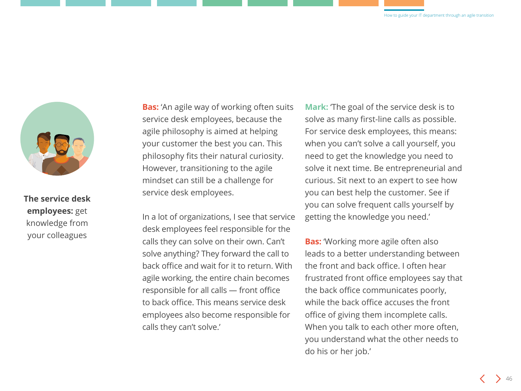

**The service desk employees:** get knowledge from your colleagues

**Bas:** 'An agile way of working often suits service desk employees, because the agile philosophy is aimed at helping your customer the best you can. This philosophy fits their natural curiosity. However, transitioning to the agile mindset can still be a challenge for service desk employees.

In a lot of organizations, I see that service desk employees feel responsible for the calls they can solve on their own. Can't solve anything? They forward the call to back office and wait for it to return. With agile working, the entire chain becomes responsible for all calls — front office to back office. This means service desk employees also become responsible for calls they can't solve.'

**Mark:** 'The goal of the service desk is to solve as many first-line calls as possible. For service desk employees, this means: when you can't solve a call yourself, you need to get the knowledge you need to solve it next time. Be entrepreneurial and curious. Sit next to an expert to see how you can best help the customer. See if you can solve frequent calls yourself by getting the knowledge you need.'

**Bas:** 'Working more agile often also leads to a better understanding between the front and back office. I often hear frustrated front office employees say that the back office communicates poorly, while the back office accuses the front office of giving them incomplete calls. When you talk to each other more often, you understand what the other needs to do his or her job.'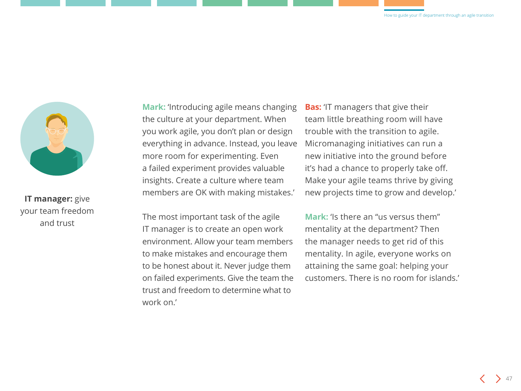

**IT manager:** give your team freedom and trust

**Mark:** 'Introducing agile means changing the culture at your department. When you work agile, you don't plan or design everything in advance. Instead, you leave more room for experimenting. Even a failed experiment provides valuable insights. Create a culture where team members are OK with making mistakes.'

**Bas:** 'IT managers that give their team little breathing room will have trouble with the transition to agile. Micromanaging initiatives can run a new initiative into the ground before it's had a chance to properly take off. Make your agile teams thrive by giving new projects time to grow and develop.'

The most important task of the agile IT manager is to create an open work environment. Allow your team members to make mistakes and encourage them to be honest about it. Never judge them on failed experiments. Give the team the trust and freedom to determine what to work on.'

**Mark:** 'Is there an "us versus them" mentality at the department? Then the manager needs to get rid of this mentality. In agile, everyone works on attaining the same goal: helping your customers. There is no room for islands.'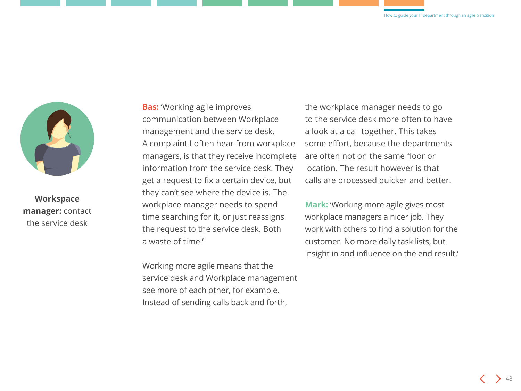

**Workspace manager:** contact the service desk

**Bas:** 'Working agile improves communication between Workplace management and the service desk. A complaint I often hear from workplace managers, is that they receive incomplete information from the service desk. They get a request to fix a certain device, but they can't see where the device is. The workplace manager needs to spend time searching for it, or just reassigns the request to the service desk. Both a waste of time.'

Working more agile means that the service desk and Workplace management see more of each other, for example. Instead of sending calls back and forth,

the workplace manager needs to go to the service desk more often to have a look at a call together. This takes some effort, because the departments are often not on the same floor or location. The result however is that calls are processed quicker and better.

**Mark:** 'Working more agile gives most workplace managers a nicer job. They work with others to find a solution for the customer. No more daily task lists, but insight in and influence on the end result.'